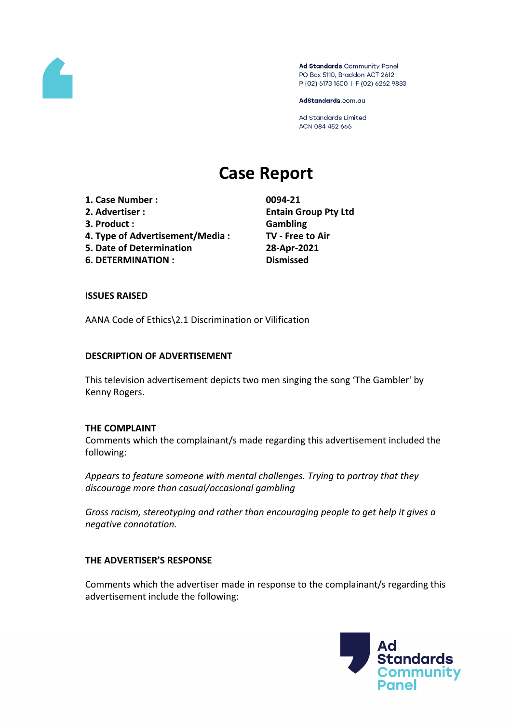

Ad Standards Community Panel PO Box 5110, Braddon ACT 2612 P (02) 6173 1500 | F (02) 6262 9833

AdStandards.com.au

Ad Standards Limited ACN 084 452 666

# **Case Report**

- **1. Case Number : 0094-21**
- **3. Product : Gambling**
- **4. Type of Advertisement/Media : TV - Free to Air**
- **5. Date of Determination 28-Apr-2021**
- **6. DETERMINATION : Dismissed**

**2. Advertiser : Entain Group Pty Ltd**

## **ISSUES RAISED**

AANA Code of Ethics\2.1 Discrimination or Vilification

#### **DESCRIPTION OF ADVERTISEMENT**

This television advertisement depicts two men singing the song 'The Gambler' by Kenny Rogers.

#### **THE COMPLAINT**

Comments which the complainant/s made regarding this advertisement included the following:

*Appears to feature someone with mental challenges. Trying to portray that they discourage more than casual/occasional gambling*

*Gross racism, stereotyping and rather than encouraging people to get help it gives a negative connotation.*

## **THE ADVERTISER'S RESPONSE**

Comments which the advertiser made in response to the complainant/s regarding this advertisement include the following:

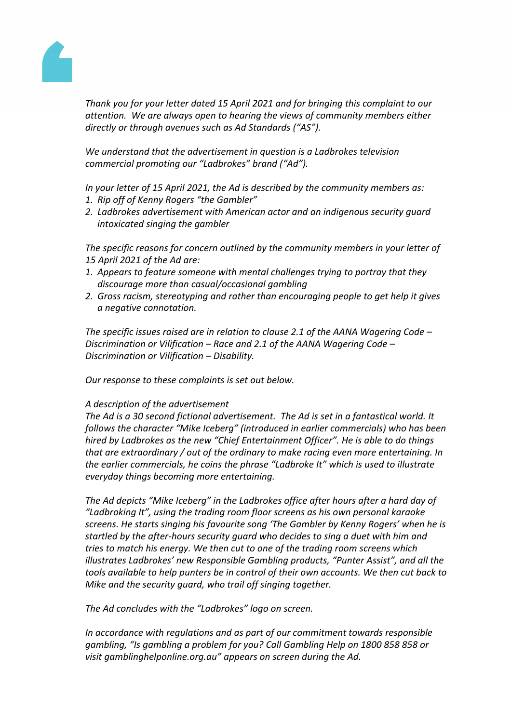

*Thank you for your letter dated 15 April 2021 and for bringing this complaint to our attention. We are always open to hearing the views of community members either directly or through avenues such as Ad Standards ("AS").* 

*We understand that the advertisement in question is a Ladbrokes television commercial promoting our "Ladbrokes" brand ("Ad").* 

*In your letter of 15 April 2021, the Ad is described by the community members as:*

- *1. Rip off of Kenny Rogers "the Gambler"*
- *2. Ladbrokes advertisement with American actor and an indigenous security guard intoxicated singing the gambler*

*The specific reasons for concern outlined by the community members in your letter of 15 April 2021 of the Ad are:*

- *1. Appears to feature someone with mental challenges trying to portray that they discourage more than casual/occasional gambling*
- *2. Gross racism, stereotyping and rather than encouraging people to get help it gives a negative connotation.*

*The specific issues raised are in relation to clause 2.1 of the AANA Wagering Code – Discrimination or Vilification – Race and 2.1 of the AANA Wagering Code – Discrimination or Vilification – Disability.*

*Our response to these complaints is set out below.* 

## *A description of the advertisement*

*The Ad is a 30 second fictional advertisement. The Ad is set in a fantastical world. It follows the character "Mike Iceberg" (introduced in earlier commercials) who has been hired by Ladbrokes as the new "Chief Entertainment Officer". He is able to do things that are extraordinary / out of the ordinary to make racing even more entertaining. In the earlier commercials, he coins the phrase "Ladbroke It" which is used to illustrate everyday things becoming more entertaining.*

*The Ad depicts "Mike Iceberg" in the Ladbrokes office after hours after a hard day of "Ladbroking It", using the trading room floor screens as his own personal karaoke screens. He starts singing his favourite song 'The Gambler by Kenny Rogers' when he is startled by the after-hours security guard who decides to sing a duet with him and tries to match his energy. We then cut to one of the trading room screens which illustrates Ladbrokes' new Responsible Gambling products, "Punter Assist", and all the tools available to help punters be in control of their own accounts. We then cut back to Mike and the security guard, who trail off singing together.*

*The Ad concludes with the "Ladbrokes" logo on screen.* 

*In accordance with regulations and as part of our commitment towards responsible gambling, "Is gambling a problem for you? Call Gambling Help on 1800 858 858 or visit gamblinghelponline.org.au" appears on screen during the Ad.*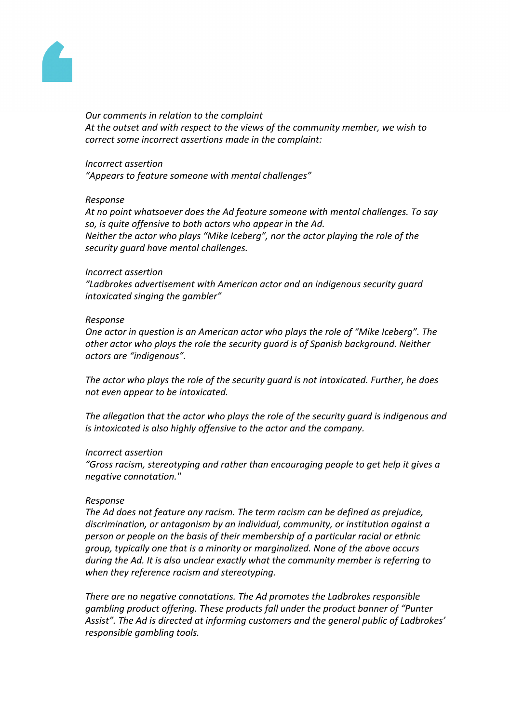

#### *Our comments in relation to the complaint*

*At the outset and with respect to the views of the community member, we wish to correct some incorrect assertions made in the complaint:*

#### *Incorrect assertion*

*"Appears to feature someone with mental challenges"*

#### *Response*

*At no point whatsoever does the Ad feature someone with mental challenges. To say so, is quite offensive to both actors who appear in the Ad. Neither the actor who plays "Mike Iceberg", nor the actor playing the role of the security guard have mental challenges.*

#### *Incorrect assertion*

*"Ladbrokes advertisement with American actor and an indigenous security guard intoxicated singing the gambler"*

#### *Response*

*One actor in question is an American actor who plays the role of "Mike Iceberg". The other actor who plays the role the security guard is of Spanish background. Neither actors are "indigenous".*

*The actor who plays the role of the security guard is not intoxicated. Further, he does not even appear to be intoxicated.*

*The allegation that the actor who plays the role of the security guard is indigenous and is intoxicated is also highly offensive to the actor and the company.*

## *Incorrect assertion*

*"Gross racism, stereotyping and rather than encouraging people to get help it gives a negative connotation."*

## *Response*

*The Ad does not feature any racism. The term racism can be defined as prejudice, discrimination, or antagonism by an individual, community, or institution against a person or people on the basis of their membership of a particular racial or ethnic group, typically one that is a minority or marginalized. None of the above occurs during the Ad. It is also unclear exactly what the community member is referring to when they reference racism and stereotyping.*

*There are no negative connotations. The Ad promotes the Ladbrokes responsible gambling product offering. These products fall under the product banner of "Punter Assist". The Ad is directed at informing customers and the general public of Ladbrokes' responsible gambling tools.*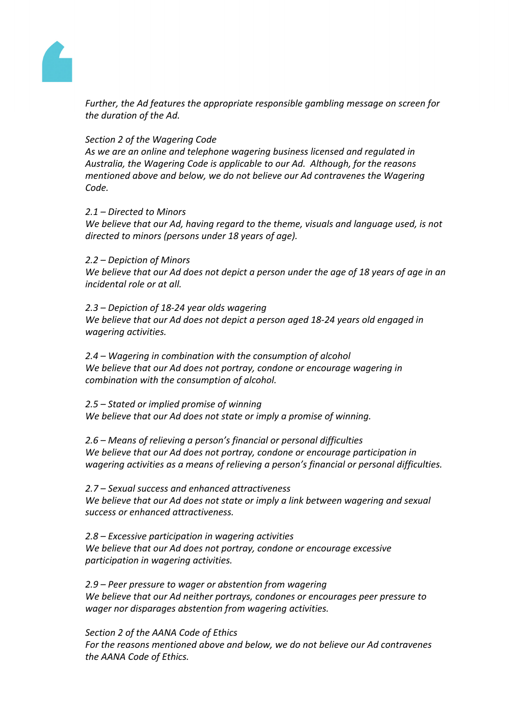

*Further, the Ad features the appropriate responsible gambling message on screen for the duration of the Ad.*

## *Section 2 of the Wagering Code*

*As we are an online and telephone wagering business licensed and regulated in Australia, the Wagering Code is applicable to our Ad. Although, for the reasons mentioned above and below, we do not believe our Ad contravenes the Wagering Code.*

## *2.1 – Directed to Minors*

*We believe that our Ad, having regard to the theme, visuals and language used, is not directed to minors (persons under 18 years of age).*

*2.2 – Depiction of Minors*

We believe that our Ad does not depict a person under the age of 18 years of age in an *incidental role or at all.*

*2.3 – Depiction of 18-24 year olds wagering We believe that our Ad does not depict a person aged 18-24 years old engaged in wagering activities.*

*2.4 – Wagering in combination with the consumption of alcohol We believe that our Ad does not portray, condone or encourage wagering in combination with the consumption of alcohol.* 

*2.5 – Stated or implied promise of winning We believe that our Ad does not state or imply a promise of winning.*

*2.6 – Means of relieving a person's financial or personal difficulties We believe that our Ad does not portray, condone or encourage participation in wagering activities as a means of relieving a person's financial or personal difficulties.*

*2.7 – Sexual success and enhanced attractiveness We believe that our Ad does not state or imply a link between wagering and sexual success or enhanced attractiveness.*

*2.8 – Excessive participation in wagering activities We believe that our Ad does not portray, condone or encourage excessive participation in wagering activities.*

*2.9 – Peer pressure to wager or abstention from wagering We believe that our Ad neither portrays, condones or encourages peer pressure to wager nor disparages abstention from wagering activities.*

*Section 2 of the AANA Code of Ethics For the reasons mentioned above and below, we do not believe our Ad contravenes the AANA Code of Ethics.*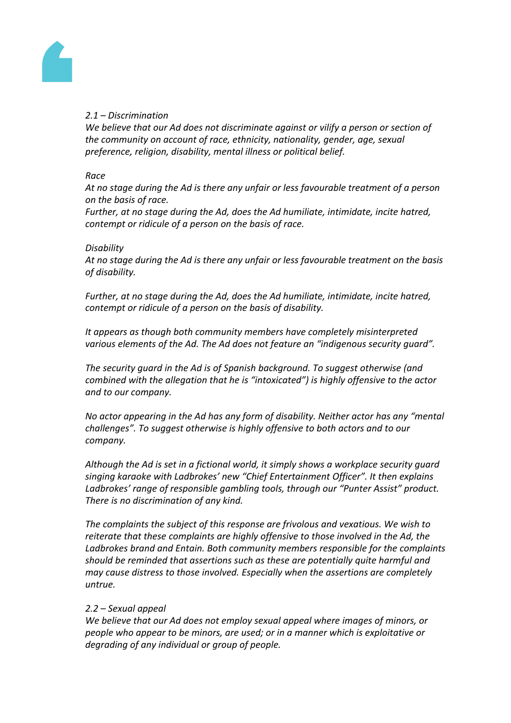

# *2.1 – Discrimination*

*We believe that our Ad does not discriminate against or vilify a person or section of the community on account of race, ethnicity, nationality, gender, age, sexual preference, religion, disability, mental illness or political belief.* 

#### *Race*

*At no stage during the Ad is there any unfair or less favourable treatment of a person on the basis of race.*

*Further, at no stage during the Ad, does the Ad humiliate, intimidate, incite hatred, contempt or ridicule of a person on the basis of race.*

#### *Disability*

*At no stage during the Ad is there any unfair or less favourable treatment on the basis of disability.*

*Further, at no stage during the Ad, does the Ad humiliate, intimidate, incite hatred, contempt or ridicule of a person on the basis of disability.*

*It appears as though both community members have completely misinterpreted various elements of the Ad. The Ad does not feature an "indigenous security guard".*

*The security guard in the Ad is of Spanish background. To suggest otherwise (and combined with the allegation that he is "intoxicated") is highly offensive to the actor and to our company.*

*No actor appearing in the Ad has any form of disability. Neither actor has any "mental challenges". To suggest otherwise is highly offensive to both actors and to our company.*

*Although the Ad is set in a fictional world, it simply shows a workplace security guard singing karaoke with Ladbrokes' new "Chief Entertainment Officer". It then explains Ladbrokes' range of responsible gambling tools, through our "Punter Assist" product. There is no discrimination of any kind.*

*The complaints the subject of this response are frivolous and vexatious. We wish to reiterate that these complaints are highly offensive to those involved in the Ad, the Ladbrokes brand and Entain. Both community members responsible for the complaints should be reminded that assertions such as these are potentially quite harmful and may cause distress to those involved. Especially when the assertions are completely untrue.* 

## *2.2 – Sexual appeal*

*We believe that our Ad does not employ sexual appeal where images of minors, or people who appear to be minors, are used; or in a manner which is exploitative or degrading of any individual or group of people.*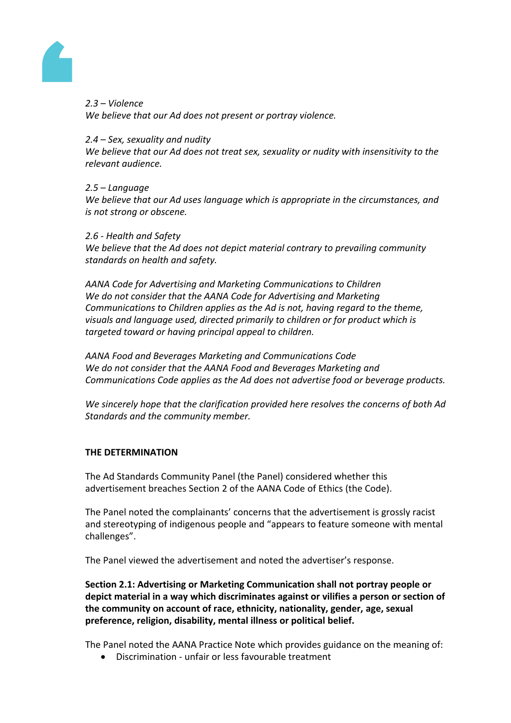

*2.3 – Violence We believe that our Ad does not present or portray violence.* 

## *2.4 – Sex, sexuality and nudity*

*We believe that our Ad does not treat sex, sexuality or nudity with insensitivity to the relevant audience.* 

## *2.5 – Language*

*We believe that our Ad uses language which is appropriate in the circumstances, and is not strong or obscene.* 

## *2.6 - Health and Safety*

*We believe that the Ad does not depict material contrary to prevailing community standards on health and safety.*

*AANA Code for Advertising and Marketing Communications to Children We do not consider that the AANA Code for Advertising and Marketing Communications to Children applies as the Ad is not, having regard to the theme, visuals and language used, directed primarily to children or for product which is targeted toward or having principal appeal to children.* 

*AANA Food and Beverages Marketing and Communications Code We do not consider that the AANA Food and Beverages Marketing and Communications Code applies as the Ad does not advertise food or beverage products.*

*We sincerely hope that the clarification provided here resolves the concerns of both Ad Standards and the community member.* 

# **THE DETERMINATION**

The Ad Standards Community Panel (the Panel) considered whether this advertisement breaches Section 2 of the AANA Code of Ethics (the Code).

The Panel noted the complainants' concerns that the advertisement is grossly racist and stereotyping of indigenous people and "appears to feature someone with mental challenges".

The Panel viewed the advertisement and noted the advertiser's response.

**Section 2.1: Advertising or Marketing Communication shall not portray people or depict material in a way which discriminates against or vilifies a person or section of the community on account of race, ethnicity, nationality, gender, age, sexual preference, religion, disability, mental illness or political belief.**

The Panel noted the AANA Practice Note which provides guidance on the meaning of:

Discrimination - unfair or less favourable treatment